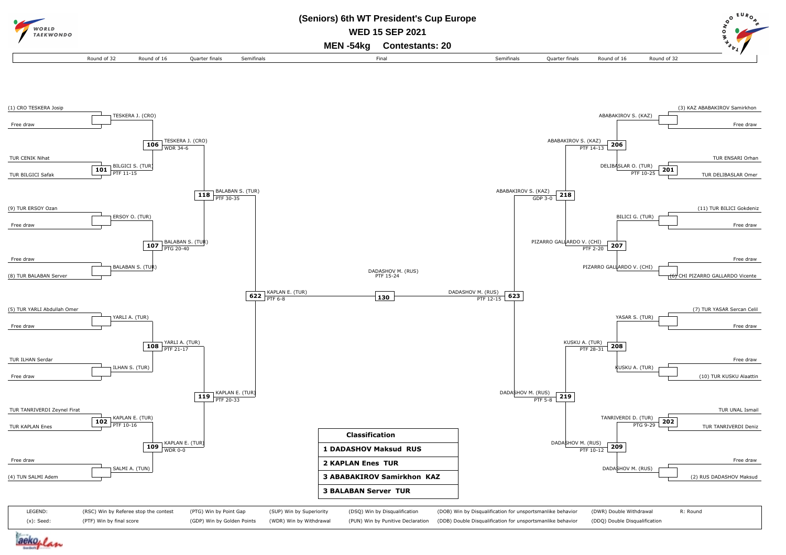

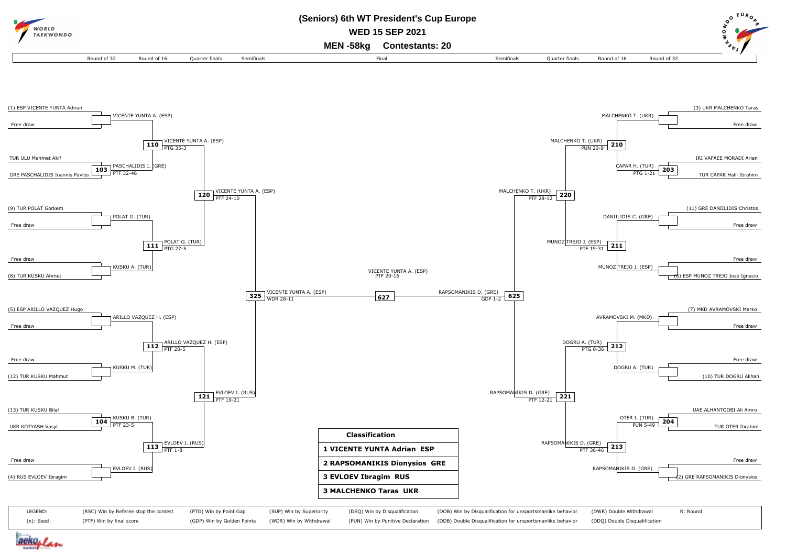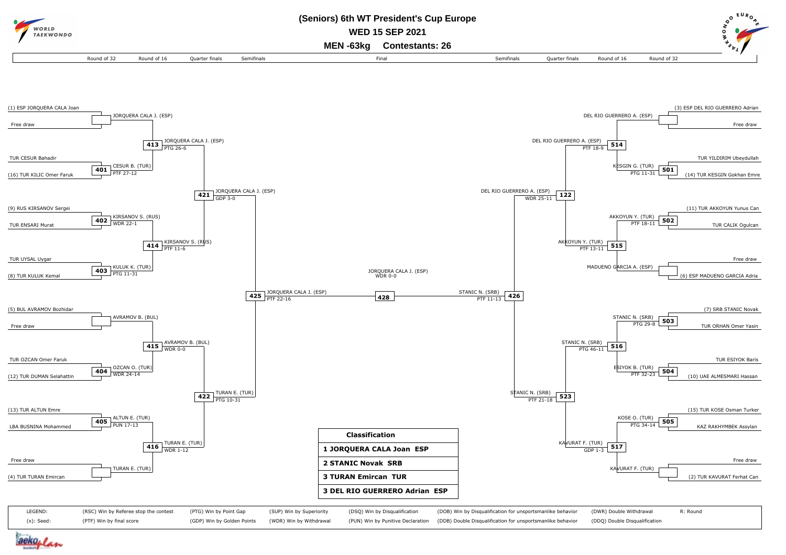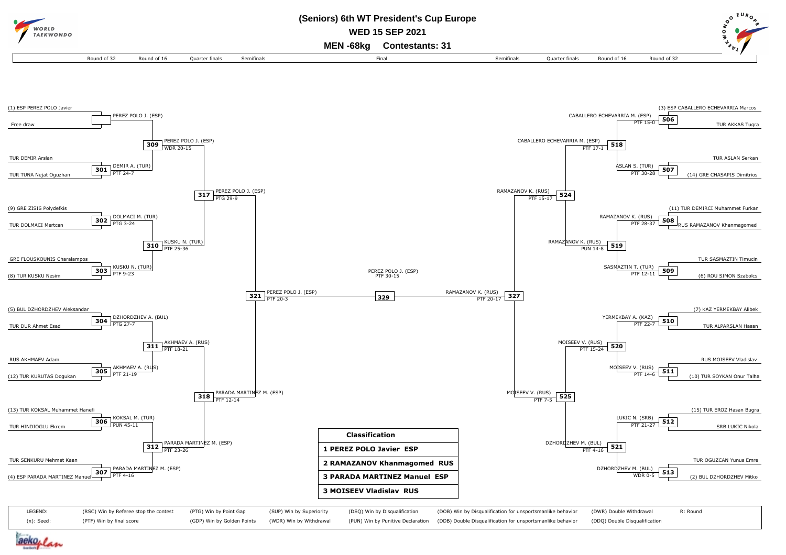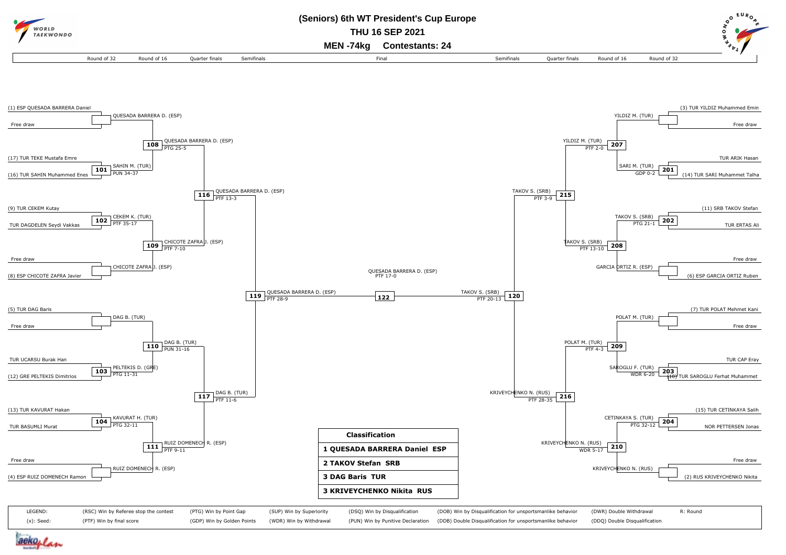

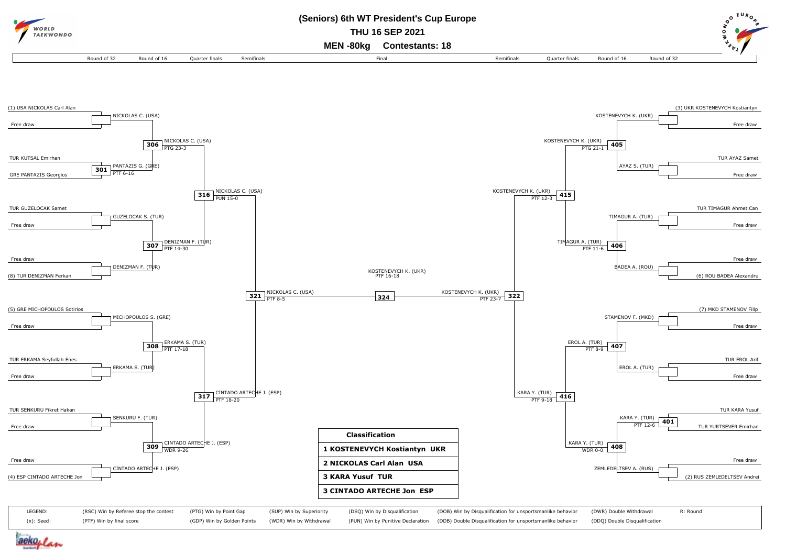

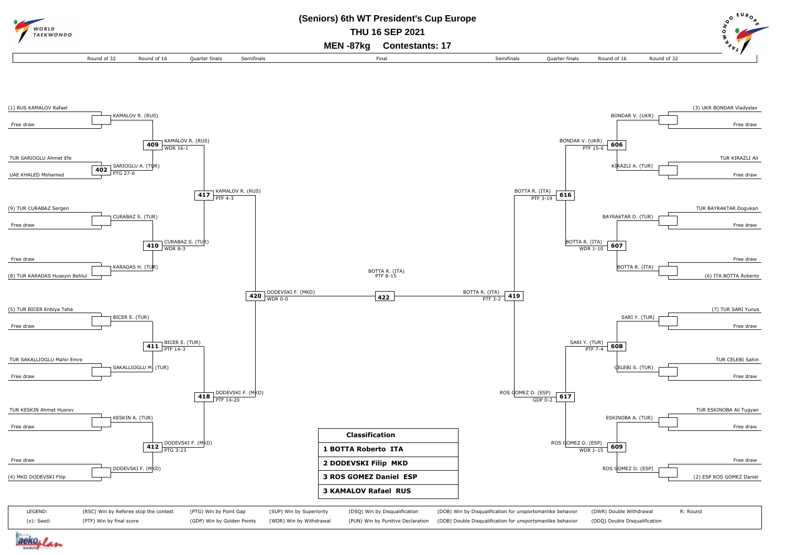

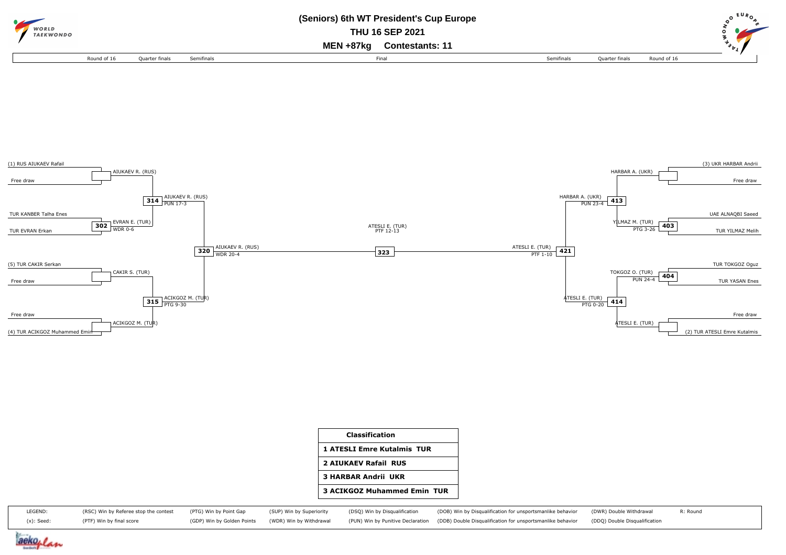



| Classification                     |
|------------------------------------|
| <b>1 ATESLI Emre Kutalmis TUR</b>  |
| <b>2 AIUKAEV Rafail RUS</b>        |
| <b>3 HARBAR Andrii UKR</b>         |
| <b>3 ACIKGOZ Muhammed Emin TUR</b> |

| LEGEND:    | (RSC) Win by Referee stop the contest (PTG) Win by Point Gap |                                                    | (SUP) Win by Superiority | (DSQ) Win by Disqualification | (DOB) Win by Disqualification for unsportsmanlike behavior (DWR) Double Withdrawal                                         | R: Round |
|------------|--------------------------------------------------------------|----------------------------------------------------|--------------------------|-------------------------------|----------------------------------------------------------------------------------------------------------------------------|----------|
| (x): Seed: | (PTF) Win by final score                                     | (GDP) Win by Golden Points (WDR) Win by Withdrawal |                          |                               | (PUN) Win by Punitive Declaration (DDB) Double Disqualification for unsportsmanlike behavior (DDQ) Double Disqualification |          |

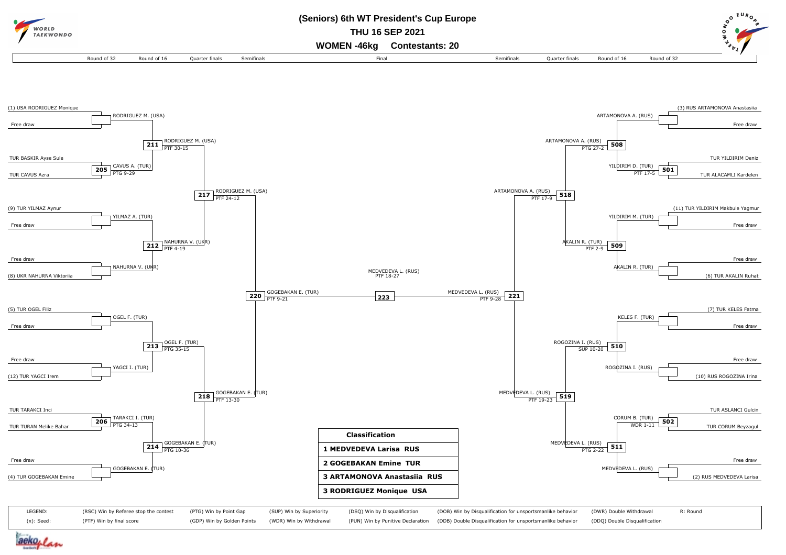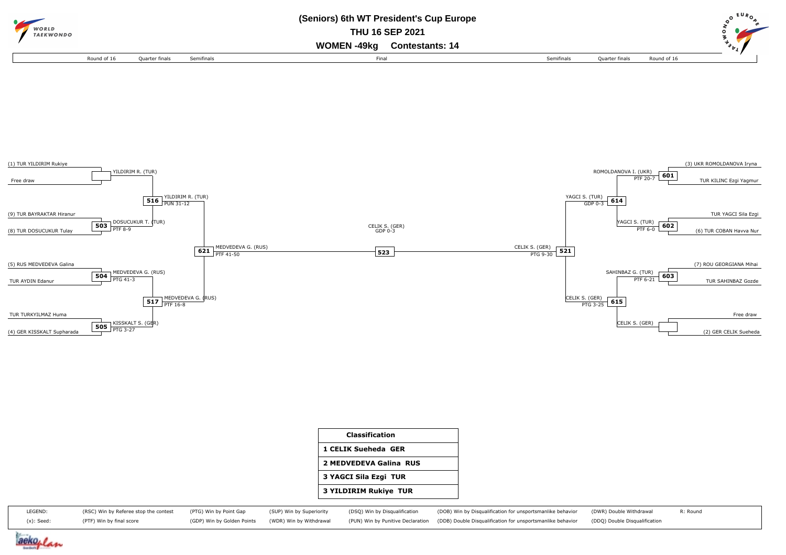



| <b>Classification</b>        |
|------------------------------|
| 1 CELIK Sueheda GER          |
| 2 MEDVEDEVA Galina RUS       |
| 3 YAGCI Sila Ezgi TUR        |
| <b>3 YILDIRIM Rukiye TUR</b> |

| LEGEND:       | (RSC) Win by Referee stop the contest (PTG) Win by Point Gap |                                                    | (SUP) Win by Superiority | (DSQ) Win by Disqualification | (DOB) Win by Disqualification for unsportsmanlike behavior (DWR) Double Withdrawal                                         | R: Round |
|---------------|--------------------------------------------------------------|----------------------------------------------------|--------------------------|-------------------------------|----------------------------------------------------------------------------------------------------------------------------|----------|
| $(x)$ : Seed: | (PTF) Win by final score                                     | (GDP) Win by Golden Points (WDR) Win by Withdrawal |                          |                               | (PUN) Win by Punitive Declaration (DDB) Double Disqualification for unsportsmanlike behavior (DDQ) Double Disqualification |          |

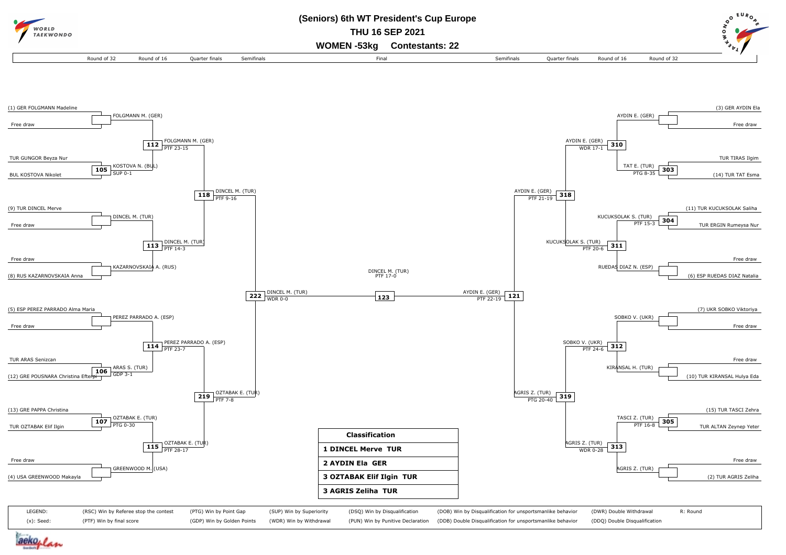

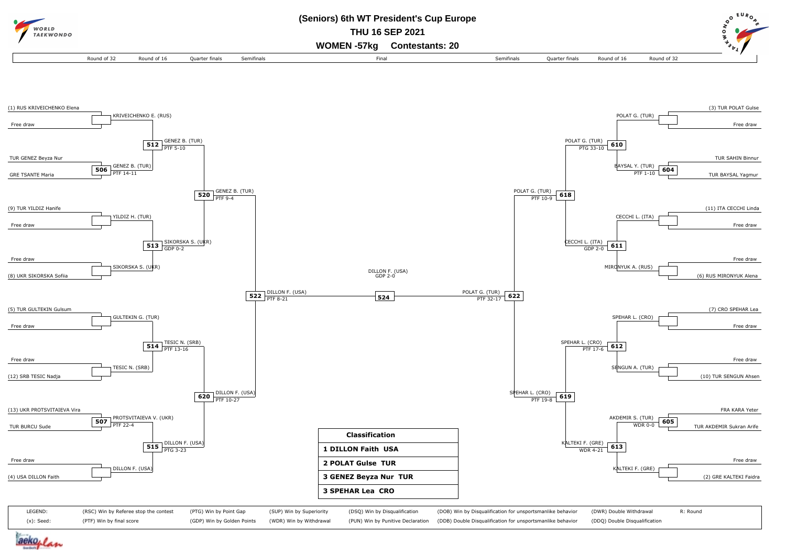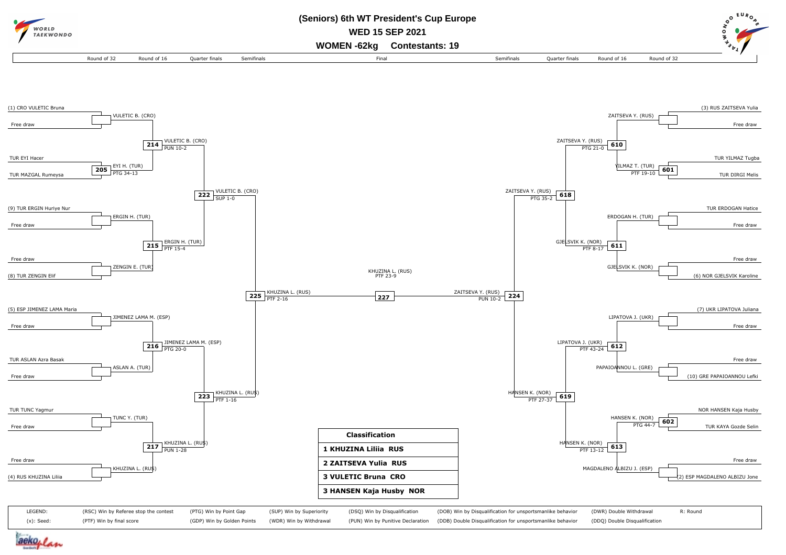

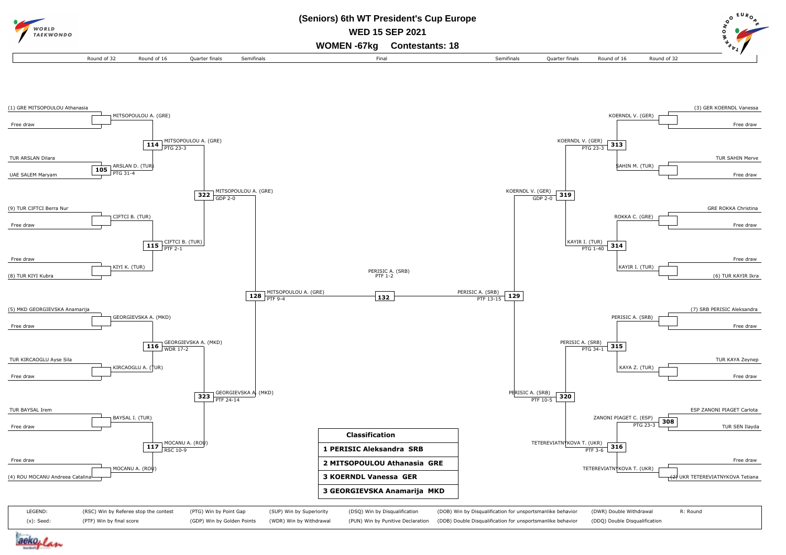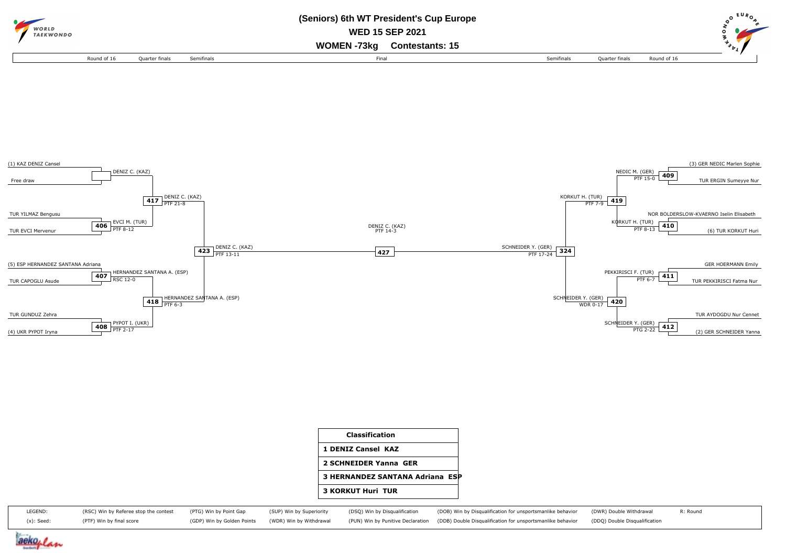



| <b>Classification</b>           |  |
|---------------------------------|--|
| <b>1 DENIZ Cansel KAZ</b>       |  |
| 2 SCHNEIDER Yanna GER           |  |
| 3 HERNANDEZ SANTANA Adriana ESP |  |
| <b>3 KORKUT Huri TUR</b>        |  |

| LEGEND:       | (RSC) Win by Referee stop the contest (PTG) Win by Point Gap |  | (SUP) Win by Superiority (DSQ) Win by Disqualification | (DOB) Win by Disqualification for unsportsmanlike behavior (DWR) Double Withdrawal                                                                                            | R: Round |
|---------------|--------------------------------------------------------------|--|--------------------------------------------------------|-------------------------------------------------------------------------------------------------------------------------------------------------------------------------------|----------|
| $(x)$ : Seed: | (PTF) Win by final score                                     |  |                                                        | (GDP) Win by Golden Points (WDR) Win by Withdrawal (PUN) Win by Punitive Declaration (DDB) Double Disqualification for unsportsmanlike behavior (DDQ) Double Disqualification |          |